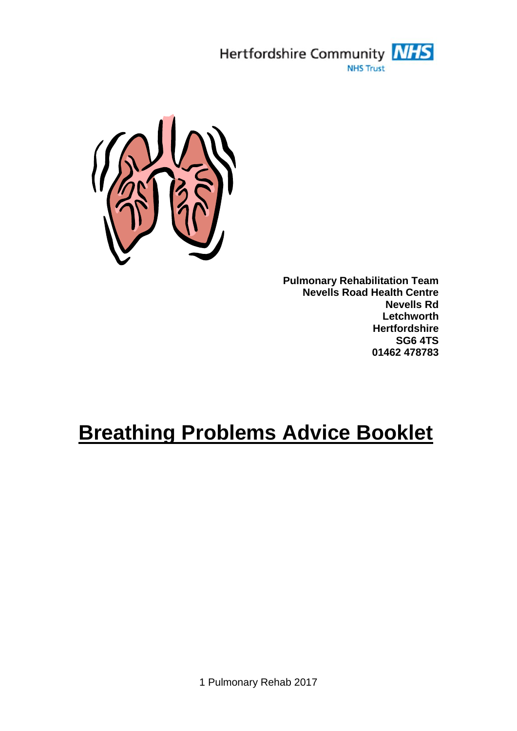



**Pulmonary Rehabilitation Team Nevells Road Health Centre Nevells Rd Letchworth Hertfordshire SG6 4TS 01462 478783**

# **Breathing Problems Advice Booklet**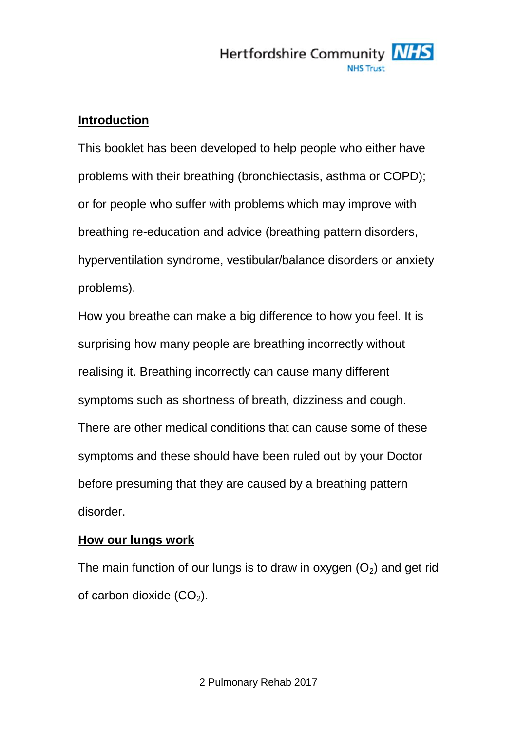

#### **Introduction**

This booklet has been developed to help people who either have problems with their breathing (bronchiectasis, asthma or COPD); or for people who suffer with problems which may improve with breathing re-education and advice (breathing pattern disorders, hyperventilation syndrome, vestibular/balance disorders or anxiety problems).

How you breathe can make a big difference to how you feel. It is surprising how many people are breathing incorrectly without realising it. Breathing incorrectly can cause many different symptoms such as shortness of breath, dizziness and cough. There are other medical conditions that can cause some of these symptoms and these should have been ruled out by your Doctor before presuming that they are caused by a breathing pattern disorder.

#### **How our lungs work**

The main function of our lungs is to draw in oxygen  $(O<sub>2</sub>)$  and get rid of carbon dioxide  $(CO<sub>2</sub>)$ .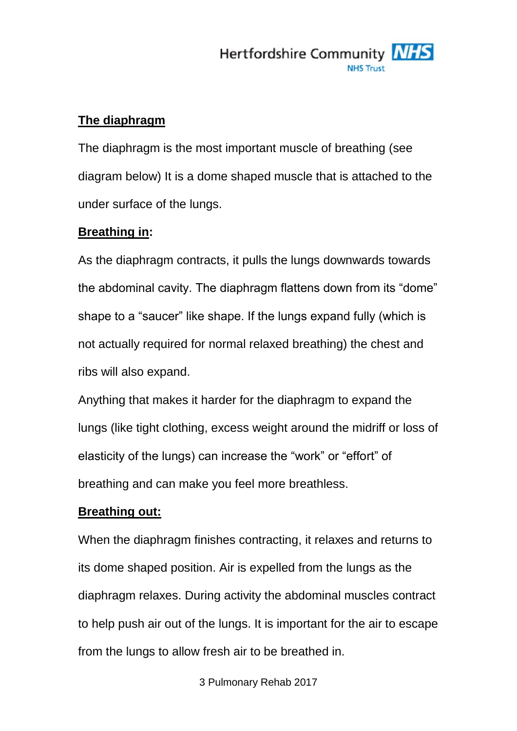

#### **The diaphragm**

The diaphragm is the most important muscle of breathing (see diagram below) It is a dome shaped muscle that is attached to the under surface of the lungs.

#### **Breathing in:**

As the diaphragm contracts, it pulls the lungs downwards towards the abdominal cavity. The diaphragm flattens down from its "dome" shape to a "saucer" like shape. If the lungs expand fully (which is not actually required for normal relaxed breathing) the chest and ribs will also expand.

Anything that makes it harder for the diaphragm to expand the lungs (like tight clothing, excess weight around the midriff or loss of elasticity of the lungs) can increase the "work" or "effort" of breathing and can make you feel more breathless.

#### **Breathing out:**

When the diaphragm finishes contracting, it relaxes and returns to its dome shaped position. Air is expelled from the lungs as the diaphragm relaxes. During activity the abdominal muscles contract to help push air out of the lungs. It is important for the air to escape from the lungs to allow fresh air to be breathed in.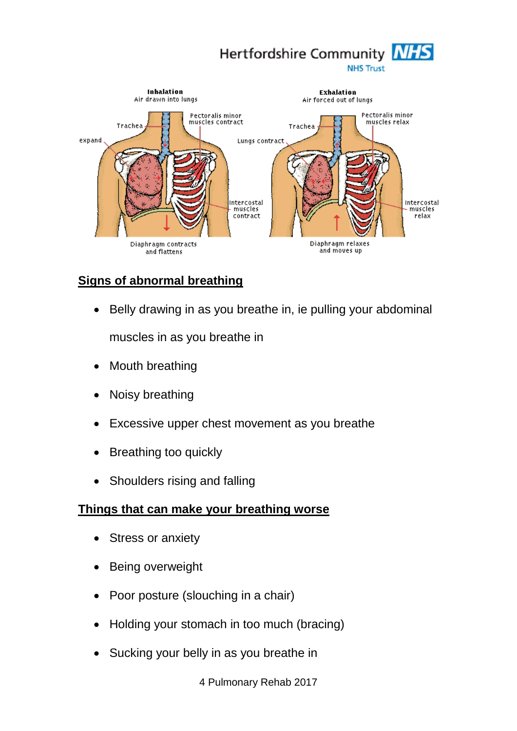



# **Signs of abnormal breathing**

• Belly drawing in as you breathe in, ie pulling your abdominal

muscles in as you breathe in

- Mouth breathing
- Noisy breathing
- Excessive upper chest movement as you breathe
- Breathing too quickly
- Shoulders rising and falling

#### **Things that can make your breathing worse**

- Stress or anxiety
- Being overweight
- Poor posture (slouching in a chair)
- Holding your stomach in too much (bracing)
- Sucking your belly in as you breathe in

4 Pulmonary Rehab 2017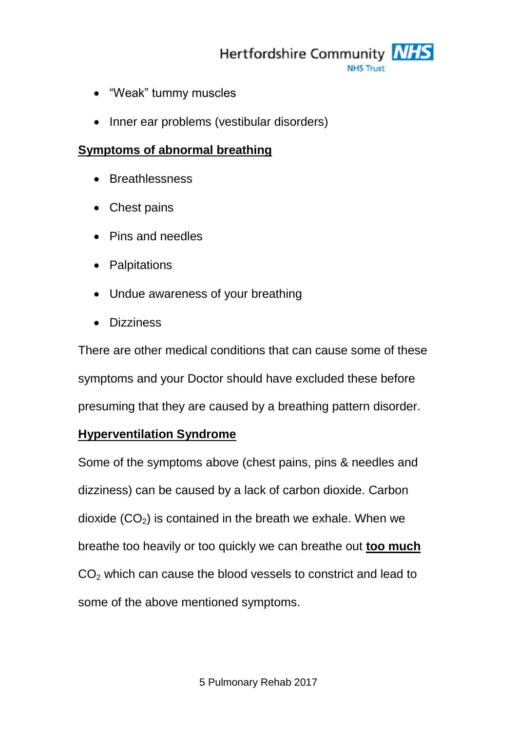Hertfordshire Community MHS

- "Weak" tummy muscles
- Inner ear problems (vestibular disorders)

#### **Symptoms of abnormal breathing**

- Breathlessness
- Chest pains
- Pins and needles
- Palpitations
- Undue awareness of your breathing
- Dizziness

There are other medical conditions that can cause some of these symptoms and your Doctor should have excluded these before presuming that they are caused by a breathing pattern disorder.

#### **Hyperventilation Syndrome**

Some of the symptoms above (chest pains, pins & needles and dizziness) can be caused by a lack of carbon dioxide. Carbon dioxide  $(CO<sub>2</sub>)$  is contained in the breath we exhale. When we breathe too heavily or too quickly we can breathe out **too much**  $CO<sub>2</sub>$  which can cause the blood vessels to constrict and lead to some of the above mentioned symptoms.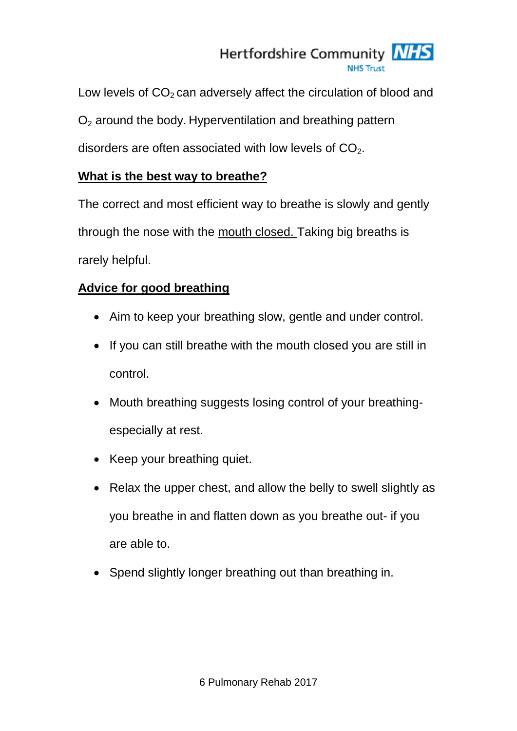# Hertfordshire Community NHS

Low levels of  $CO<sub>2</sub>$  can adversely affect the circulation of blood and  $O<sub>2</sub>$  around the body. Hyperventilation and breathing pattern disorders are often associated with low levels of  $CO<sub>2</sub>$ .

### **What is the best way to breathe?**

The correct and most efficient way to breathe is slowly and gently through the nose with the mouth closed. Taking big breaths is rarely helpful.

# **Advice for good breathing**

- Aim to keep your breathing slow, gentle and under control.
- If you can still breathe with the mouth closed you are still in control.
- Mouth breathing suggests losing control of your breathingespecially at rest.
- Keep your breathing quiet.
- Relax the upper chest, and allow the belly to swell slightly as you breathe in and flatten down as you breathe out- if you are able to.
- Spend slightly longer breathing out than breathing in.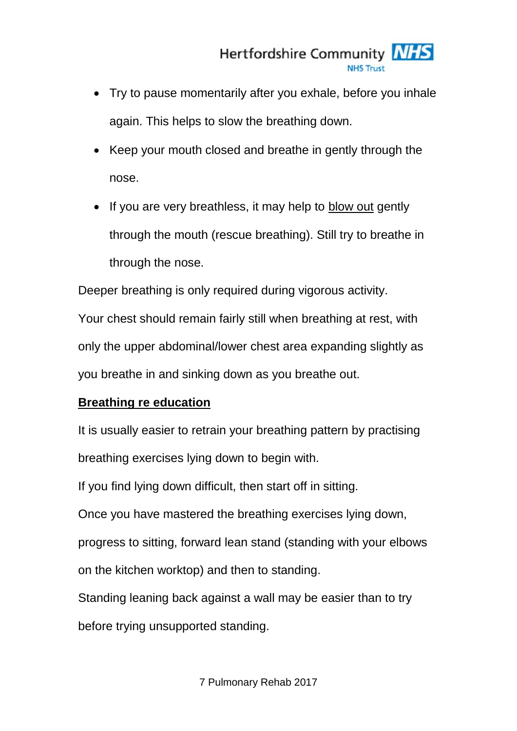- Try to pause momentarily after you exhale, before you inhale again. This helps to slow the breathing down.
- Keep your mouth closed and breathe in gently through the nose.
- If you are very breathless, it may help to blow out gently through the mouth (rescue breathing). Still try to breathe in through the nose.

Deeper breathing is only required during vigorous activity.

Your chest should remain fairly still when breathing at rest, with only the upper abdominal/lower chest area expanding slightly as you breathe in and sinking down as you breathe out.

# **Breathing re education**

It is usually easier to retrain your breathing pattern by practising breathing exercises lying down to begin with.

If you find lying down difficult, then start off in sitting.

Once you have mastered the breathing exercises lying down,

progress to sitting, forward lean stand (standing with your elbows

on the kitchen worktop) and then to standing.

Standing leaning back against a wall may be easier than to try

before trying unsupported standing.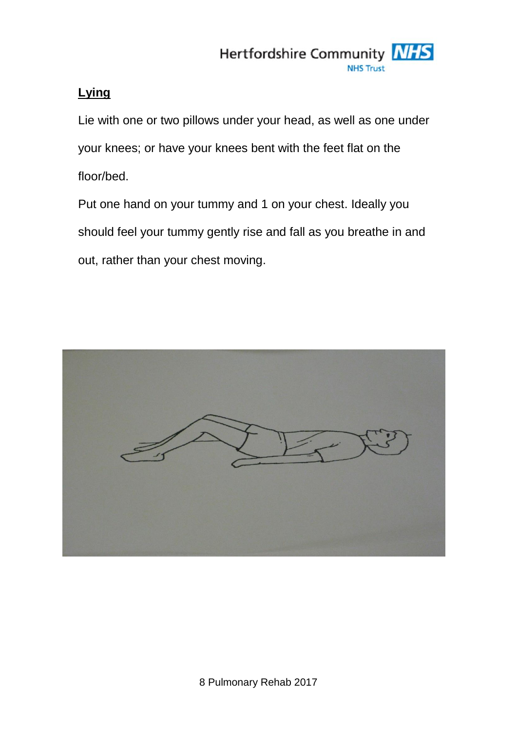

### **Lying**

Lie with one or two pillows under your head, as well as one under your knees; or have your knees bent with the feet flat on the floor/bed.

Put one hand on your tummy and 1 on your chest. Ideally you should feel your tummy gently rise and fall as you breathe in and out, rather than your chest moving.

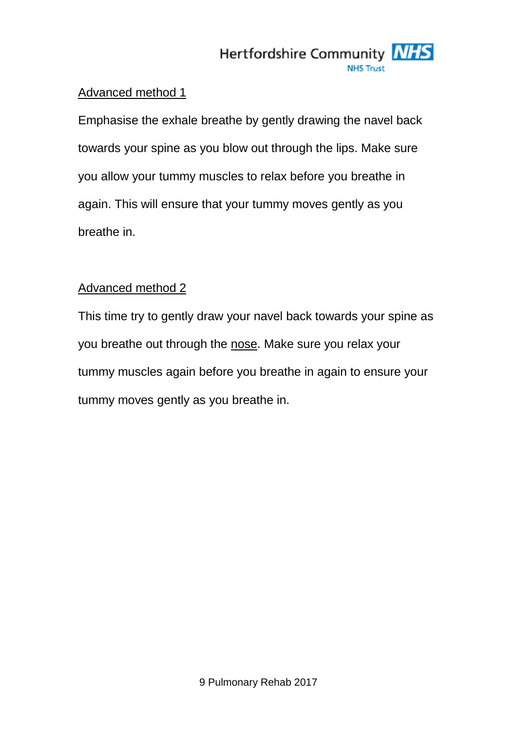#### Advanced method 1

Emphasise the exhale breathe by gently drawing the navel back towards your spine as you blow out through the lips. Make sure you allow your tummy muscles to relax before you breathe in again. This will ensure that your tummy moves gently as you breathe in.

#### Advanced method 2

This time try to gently draw your navel back towards your spine as you breathe out through the nose. Make sure you relax your tummy muscles again before you breathe in again to ensure your tummy moves gently as you breathe in.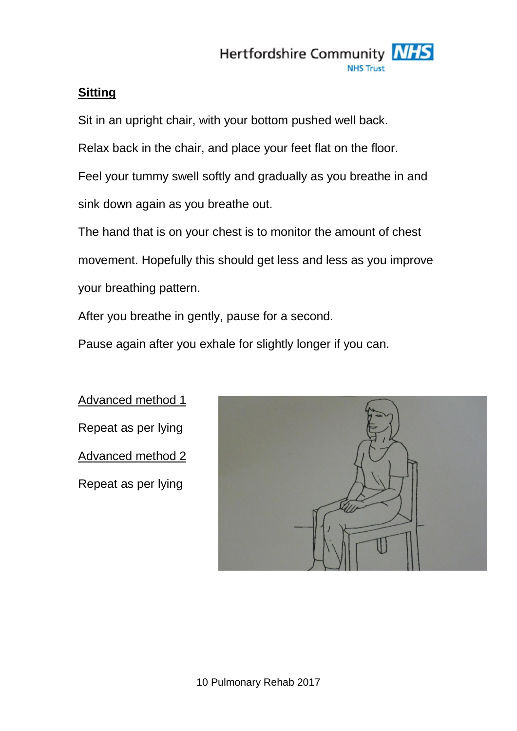

#### **Sitting**

Sit in an upright chair, with your bottom pushed well back.

Relax back in the chair, and place your feet flat on the floor.

Feel your tummy swell softly and gradually as you breathe in and sink down again as you breathe out.

The hand that is on your chest is to monitor the amount of chest movement. Hopefully this should get less and less as you improve your breathing pattern.

After you breathe in gently, pause for a second.

Pause again after you exhale for slightly longer if you can.

Advanced method 1 Repeat as per lying Advanced method 2 Repeat as per lying

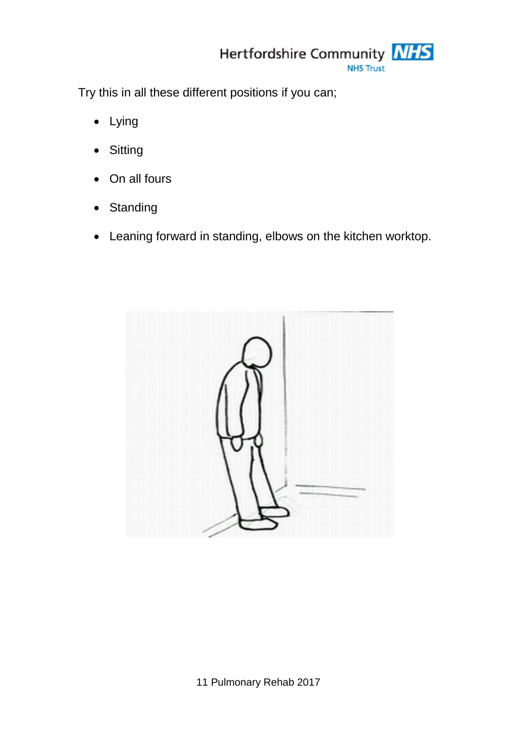

Try this in all these different positions if you can;

- Lying
- Sitting
- On all fours
- Standing
- Leaning forward in standing, elbows on the kitchen worktop.

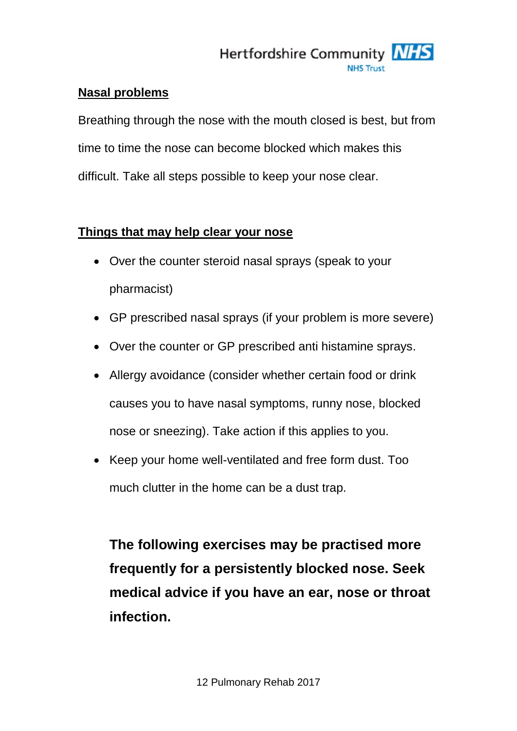

#### **Nasal problems**

Breathing through the nose with the mouth closed is best, but from time to time the nose can become blocked which makes this difficult. Take all steps possible to keep your nose clear.

#### **Things that may help clear your nose**

- Over the counter steroid nasal sprays (speak to your pharmacist)
- GP prescribed nasal sprays (if your problem is more severe)
- Over the counter or GP prescribed anti histamine sprays.
- Allergy avoidance (consider whether certain food or drink causes you to have nasal symptoms, runny nose, blocked nose or sneezing). Take action if this applies to you.
- Keep your home well-ventilated and free form dust. Too much clutter in the home can be a dust trap.

**The following exercises may be practised more frequently for a persistently blocked nose. Seek medical advice if you have an ear, nose or throat infection.**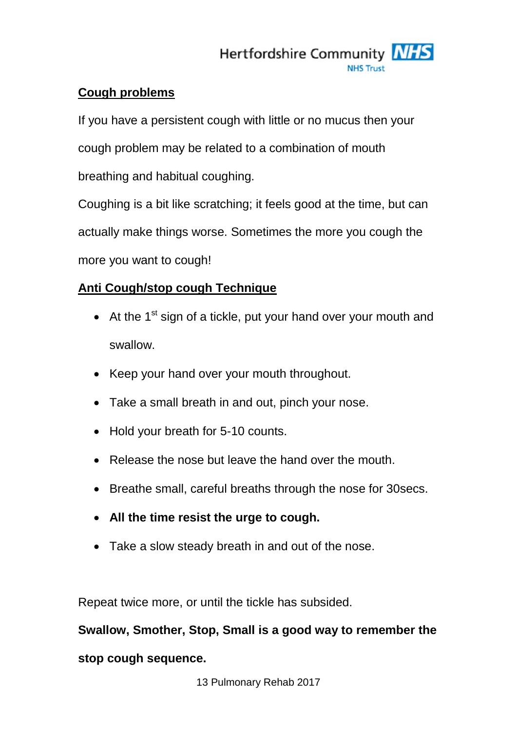

#### **Cough problems**

If you have a persistent cough with little or no mucus then your cough problem may be related to a combination of mouth breathing and habitual coughing.

Coughing is a bit like scratching; it feels good at the time, but can actually make things worse. Sometimes the more you cough the more you want to cough!

# **Anti Cough/stop cough Technique**

- $\bullet$  At the 1<sup>st</sup> sign of a tickle, put your hand over your mouth and swallow.
- Keep your hand over your mouth throughout.
- Take a small breath in and out, pinch your nose.
- Hold your breath for 5-10 counts.
- Release the nose but leave the hand over the mouth.
- Breathe small, careful breaths through the nose for 30 secs.
- **All the time resist the urge to cough.**
- Take a slow steady breath in and out of the nose.

Repeat twice more, or until the tickle has subsided.

**Swallow, Smother, Stop, Small is a good way to remember the** 

#### **stop cough sequence.**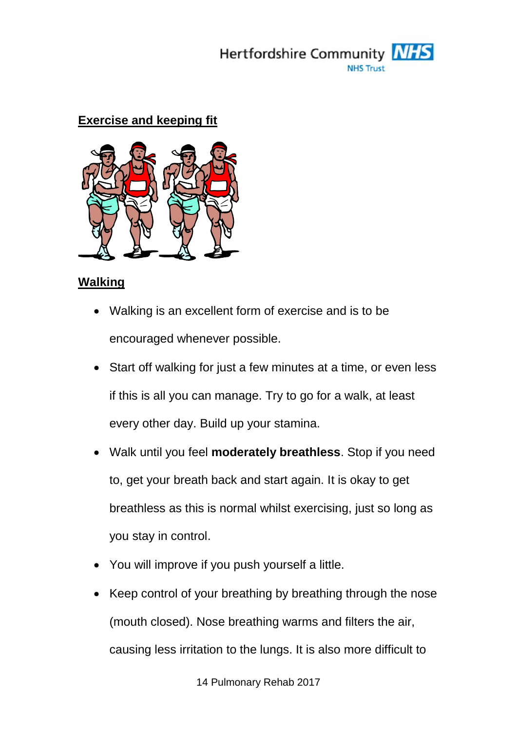

#### **Exercise and keeping fit**



#### **Walking**

- Walking is an excellent form of exercise and is to be encouraged whenever possible.
- Start off walking for just a few minutes at a time, or even less if this is all you can manage. Try to go for a walk, at least every other day. Build up your stamina.
- Walk until you feel **moderately breathless**. Stop if you need to, get your breath back and start again. It is okay to get breathless as this is normal whilst exercising, just so long as you stay in control.
- You will improve if you push yourself a little.
- Keep control of your breathing by breathing through the nose (mouth closed). Nose breathing warms and filters the air, causing less irritation to the lungs. It is also more difficult to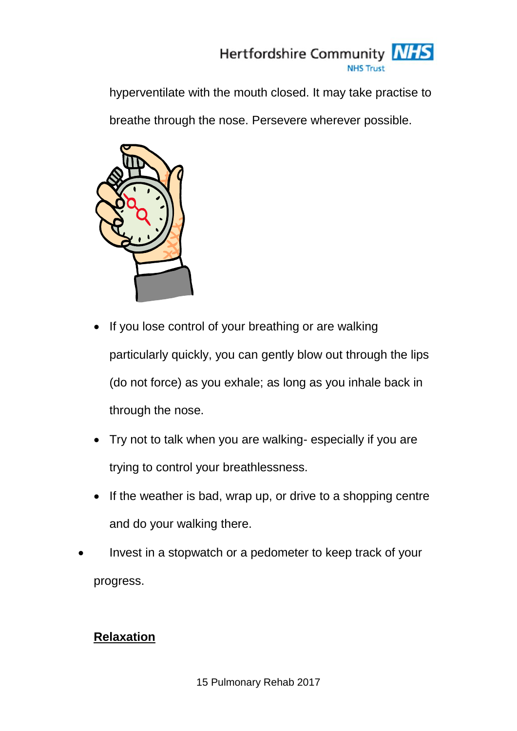

hyperventilate with the mouth closed. It may take practise to

breathe through the nose. Persevere wherever possible.



- If you lose control of your breathing or are walking particularly quickly, you can gently blow out through the lips (do not force) as you exhale; as long as you inhale back in through the nose.
- Try not to talk when you are walking- especially if you are trying to control your breathlessness.
- $\bullet$  If the weather is bad, wrap up, or drive to a shopping centre and do your walking there.
- Invest in a stopwatch or a pedometer to keep track of your progress.

# **Relaxation**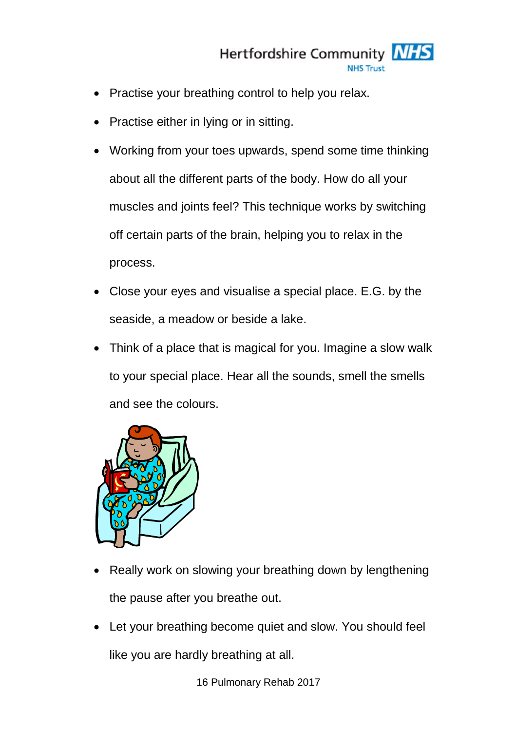

- Practise your breathing control to help you relax.
- Practise either in lying or in sitting.
- Working from your toes upwards, spend some time thinking about all the different parts of the body. How do all your muscles and joints feel? This technique works by switching off certain parts of the brain, helping you to relax in the process.
- Close your eyes and visualise a special place. E.G. by the seaside, a meadow or beside a lake.
- Think of a place that is magical for you. Imagine a slow walk to your special place. Hear all the sounds, smell the smells and see the colours.



- Really work on slowing your breathing down by lengthening the pause after you breathe out.
- Let your breathing become quiet and slow. You should feel like you are hardly breathing at all.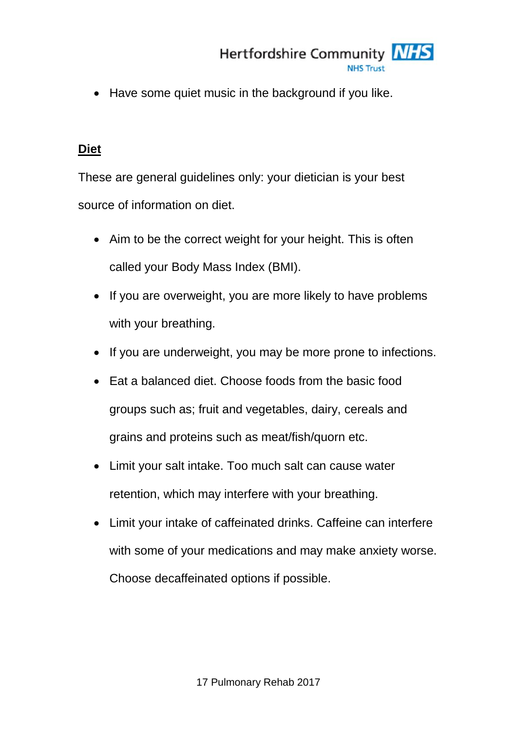Have some quiet music in the background if you like.

## **Diet**

These are general guidelines only: your dietician is your best source of information on diet.

- Aim to be the correct weight for your height. This is often called your Body Mass Index (BMI).
- If you are overweight, you are more likely to have problems with your breathing.
- If you are underweight, you may be more prone to infections.
- Eat a balanced diet. Choose foods from the basic food groups such as; fruit and vegetables, dairy, cereals and grains and proteins such as meat/fish/quorn etc.
- Limit your salt intake. Too much salt can cause water retention, which may interfere with your breathing.
- Limit your intake of caffeinated drinks. Caffeine can interfere with some of your medications and may make anxiety worse. Choose decaffeinated options if possible.